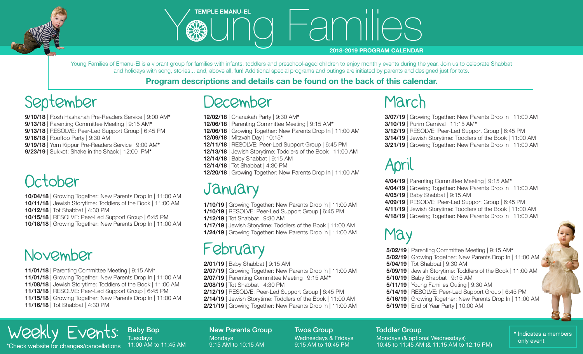



# WE TEMPLE EMANU-EL<br> **EDELL**<br>
COMPUTER TO THE EMANUEL

#### **2018-2019 PROGRAM CALENDAR**

Young Families of Emanu-El is a vibrant group for families with infants, toddlers and preschool-aged children to enjoy monthly events during the year. Join us to celebrate Shabbat and holidays with song, stories... and, above all, fun! Additional special programs and outings are initiated by parents and designed just for tots.

### **Program descriptions and details can be found on the back of this calendar.**

# September

**9/10/18** | Rosh Hashanah Pre-Readers Service | 9:00 AM**\* 9/13/18** | Parenting Committee Meeting | 9:15 AM**\* 9/13/18** | RESOLVE: Peer-Led Support Group | 6:45 PM **9/16/18** | Rooftop Party | 9:30 AM **9/19/18** | Yom Kippur Pre-Readers Service | 9:00 AM**\* 9/23/19** | Sukkot: Shake in the Shack | 12:00 PM**\***

# October

- **10/04/18** | Growing Together: New Parents Drop In | 11:00 AM **10/11/18** | Jewish Storytime: Toddlers of the Book | 11:00 AM **10/12/18** | Tot Shabbat | 4:30 PM
- **10/15/18** | RESOLVE: Peer-Led Support Group | 6:45 PM
- **10/18/18** | Growing Together: New Parents Drop In | 11:00 AM

## November

**11/01/18** | Parenting Committee Meeting | 9:15 AM**\* 11/01/18** | Growing Together: New Parents Drop In | 11:00 AM **11/08/18** | Jewish Storytime: Toddlers of the Book | 11:00 AM **11/13/18** | RESOLVE: Peer-Led Support Group | 6:45 PM **11/15/18** | Growing Together: New Parents Drop In | 11:00 AM **11/16/18** | Tot Shabbat | 4:30 PM

# December

- **12/02/18** | Chanukah Party | 9:30 AM**\***
- **12/06/18** | Parenting Committee Meeting | 9:15 AM**\* 12/06/18** | Growing Together: New Parents Drop In | 11:00 AM
- **12/09/18** | Mitzvah Day | 10:15**\***
- **12/11/18** | RESOLVE: Peer-Led Support Group | 6:45 PM
- **12/13/18** | Jewish Storytime: Toddlers of the Book | 11:00 AM
- **12/14/18** | Baby Shabbat | 9:15 AM
- **12/14/18** | Tot Shabbat | 4:30 PM
- **12/20/18** | Growing Together: New Parents Drop In | 11:00 AM

## **January**

- **1/10/19** | Growing Together: New Parents Drop In | 11:00 AM
- **1/10/19** | RESOLVE: Peer-Led Support Group | 6:45 PM
- **1/12/19** | Tot Shabbat | 9:30 AM
- **1/17/19** | Jewish Storytime: Toddlers of the Book | 11:00 AM
- **1/24/19** | Growing Together: New Parents Drop In | 11:00 AM

## February

- **2/01/19** | Baby Shabbat | 9:15 AM
- **2/07/19** | Growing Together: New Parents Drop In | 11:00 AM
- **2/07/19** | Parenting Committee Meeting | 9:15 AM**\***
- **2/08/19** | Tot Shabbat | 4:30 PM
- **2/12/19** | RESOLVE: Peer-Led Support Group | 6:45 PM
- **2/14/19** | Jewish Storytime: Toddlers of the Book | 11:00 AM **2/21/19** | Growing Together: New Parents Drop In | 11:00 AM

## March

- **3/07/19** | Growing Together: New Parents Drop In | 11:00 AM
- **3/10/19** | Purim Carnival | 11:15 AM**\***
- **3/12/19** | RESOLVE: Peer-Led Support Group | 6:45 PM
- **3/14/19** | Jewish Storytime: Toddlers of the Book | 11:00 AM **3/21/19** | Growing Together: New Parents Drop In | 11:00 AM

# April

- **4/04/19** | Parenting Committee Meeting | 9:15 AM**\***
- **4/04/19** | Growing Together: New Parents Drop In | 11:00 AM
- **4/05/19** | Baby Shabbat | 9:15 AM
- **4/09/19** | RESOLVE: Peer-Led Support Group | 6:45 PM
- **4/11/19** | Jewish Storytime: Toddlers of the Book | 11:00 AM
- **4/18/19** | Growing Together: New Parents Drop In | 11:00 AM

## May

**5/02/19** | Parenting Committee Meeting | 9:15 AM**\* 5/02/19** | Growing Together: New Parents Drop In | 11:00 AM **5/04/19** | Tot Shabbat | 9:30 AM **5/09/19** | Jewish Storytime: Toddlers of the Book | 11:00 AM **5/10/19** | Baby Shabbat | 9:15 AM **5/11/19** | Young Families Outing | 9:30 AM **5/14/19** | RESOLVE: Peer-Led Support Group | 6:45 PM **5/16/19** | Growing Together: New Parents Drop In | 11:00 AM **5/19/19** | End of Year Party | 10:00 AM

### $E$ Vents: Baby Bop The recovery of the check website for changes/cancellations 11:00 AM to 11:45 AM 9:15 AM to 10:15 AM to 10:15 AM to 10:45 PM 10:45 PM 10:45 to 11:45 AM (& 11:15 AM to 12:15 PM)

**Tuesdays** 11:00 AM to 11:45 AM New Parents Group **Mondays** 9:15 AM to 10:15 AM

Twos Group Wednesdays & Fridays 9:15 AM to 10:45 PM

#### Toddler Group

Mondays (& optional Wednesdays) 10:45 to 11:45 AM (& 11:15 AM to 12:15 PM) **\*** Indicates a members